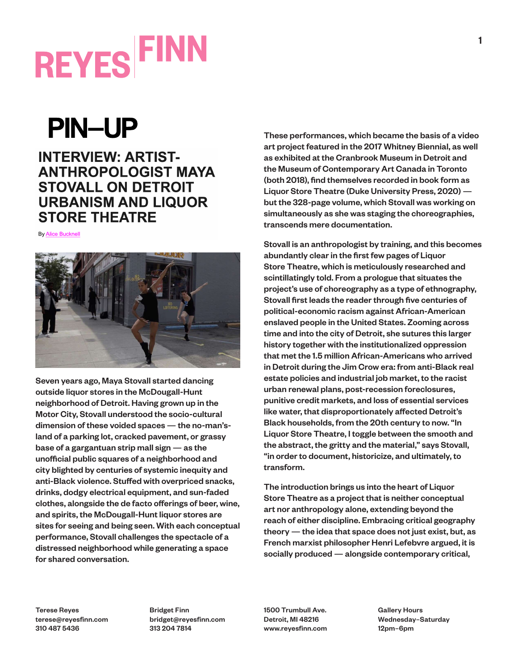#### **PIN-UP**

#### **INTERVIEW: ARTIST-ANTHROPOLOGIST MAYA STOVALL ON DETROIT URBANISM AND LIQUOR STORE THEATRE**

**By Alice Bucknell** 



Seven years ago, Maya Stovall started dancing outside liquor stores in the McDougall-Hunt neighborhood of Detroit. Having grown up in the Motor City, Stovall understood the socio-cultural dimension of these voided spaces — the no-man'sland of a parking lot, cracked pavement, or grassy base of a gargantuan strip mall sign — as the unofficial public squares of a neighborhood and city blighted by centuries of systemic inequity and anti-Black violence. Stuffed with overpriced snacks, drinks, dodgy electrical equipment, and sun-faded clothes, alongside the de facto offerings of beer, wine, and spirits, the McDougall-Hunt liquor stores are sites for seeing and being seen. With each conceptual performance, Stovall challenges the spectacle of a distressed neighborhood while generating a space for shared conversation.

These performances, which became the basis of a video art project featured in the 2017 Whitney Biennial, as well as exhibited at the Cranbrook Museum in Detroit and the Museum of Contemporary Art Canada in Toronto (both 2018), find themselves recorded in book form as Liquor Store Theatre (Duke University Press, 2020) but the 328-page volume, which Stovall was working on simultaneously as she was staging the choreographies, transcends mere documentation.

Stovall is an anthropologist by training, and this becomes abundantly clear in the first few pages of Liquor Store Theatre, which is meticulously researched and scintillatingly told. From a prologue that situates the project's use of choreography as a type of ethnography, Stovall first leads the reader through five centuries of political-economic racism against African-American enslaved people in the United States. Zooming across time and into the city of Detroit, she sutures this larger history together with the institutionalized oppression that met the 1.5 million African-Americans who arrived in Detroit during the Jim Crow era: from anti-Black real estate policies and industrial job market, to the racist urban renewal plans, post-recession foreclosures, punitive credit markets, and loss of essential services like water, that disproportionately affected Detroit's Black households, from the 20th century to now. "In Liquor Store Theatre, I toggle between the smooth and the abstract, the gritty and the material," says Stovall, "in order to document, historicize, and ultimately, to transform.

The introduction brings us into the heart of Liquor Store Theatre as a project that is neither conceptual art nor anthropology alone, extending beyond the reach of either discipline. Embracing critical geography theory — the idea that space does not just exist, but, as French marxist philosopher Henri Lefebvre argued, it is socially produced — alongside contemporary critical,

Terese Reyes terese@reyesfinn.com 310 487 5436

Bridget Finn bridget@reyesfinn.com 313 204 7814

1500 Trumbull Ave. Detroit, MI 48216 www.reyesfinn.com Gallery Hours Wednesday–Saturday 12pm–6pm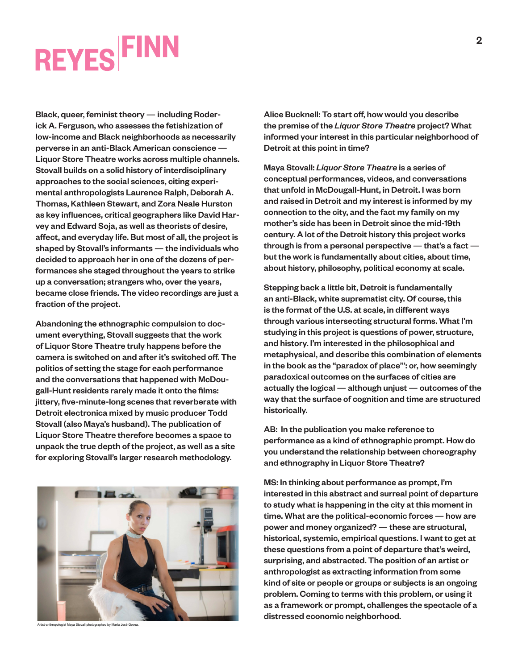Black, queer, feminist theory — including Roderick A. Ferguson, who assesses the fetishization of low-income and Black neighborhoods as necessarily perverse in an anti-Black American conscience — Liquor Store Theatre works across multiple channels. Stovall builds on a solid history of interdisciplinary approaches to the social sciences, citing experimental anthropologists Laurence Ralph, Deborah A. Thomas, Kathleen Stewart, and Zora Neale Hurston as key influences, critical geographers like David Harvey and Edward Soja, as well as theorists of desire, affect, and everyday life. But most of all, the project is shaped by Stovall's informants — the individuals who decided to approach her in one of the dozens of performances she staged throughout the years to strike up a conversation; strangers who, over the years, became close friends. The video recordings are just a fraction of the project.

Abandoning the ethnographic compulsion to document everything, Stovall suggests that the work of Liquor Store Theatre truly happens before the camera is switched on and after it's switched off. The politics of setting the stage for each performance and the conversations that happened with McDougall-Hunt residents rarely made it onto the films: jittery, five-minute-long scenes that reverberate with Detroit electronica mixed by music producer Todd Stovall (also Maya's husband). The publication of Liquor Store Theatre therefore becomes a space to unpack the true depth of the project, as well as a site for exploring Stovall's larger research methodology.



Artist-anthropologist Maya Stovall photographed by María José Govea

Alice Bucknell: To start off, how would you describe the premise of the *Liquor Store Theatre* project? What informed your interest in this particular neighborhood of Detroit at this point in time?

Maya Stovall: *Liquor Store Theatre* is a series of conceptual performances, videos, and conversations that unfold in McDougall-Hunt, in Detroit. I was born and raised in Detroit and my interest is informed by my connection to the city, and the fact my family on my mother's side has been in Detroit since the mid-19th century. A lot of the Detroit history this project works through is from a personal perspective — that's a fact but the work is fundamentally about cities, about time, about history, philosophy, political economy at scale.

Stepping back a little bit, Detroit is fundamentally an anti-Black, white suprematist city. Of course, this is the format of the U.S. at scale, in different ways through various intersecting structural forms. What I'm studying in this project is questions of power, structure, and history. I'm interested in the philosophical and metaphysical, and describe this combination of elements in the book as the "paradox of place"': or, how seemingly paradoxical outcomes on the surfaces of cities are actually the logical — although unjust — outcomes of the way that the surface of cognition and time are structured historically.

AB: In the publication you make reference to performance as a kind of ethnographic prompt. How do you understand the relationship between choreography and ethnography in Liquor Store Theatre?

MS: In thinking about performance as prompt, I'm interested in this abstract and surreal point of departure to study what is happening in the city at this moment in time. What are the political-economic forces — how are power and money organized? — these are structural, historical, systemic, empirical questions. I want to get at these questions from a point of departure that's weird, surprising, and abstracted. The position of an artist or anthropologist as extracting information from some kind of site or people or groups or subjects is an ongoing problem. Coming to terms with this problem, or using it as a framework or prompt, challenges the spectacle of a distressed economic neighborhood.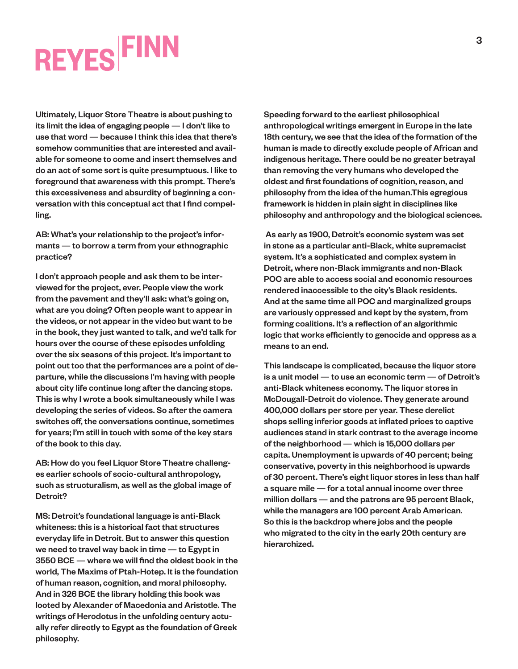Ultimately, Liquor Store Theatre is about pushing to its limit the idea of engaging people — I don't like to use that word — because I think this idea that there's somehow communities that are interested and available for someone to come and insert themselves and do an act of some sort is quite presumptuous. I like to foreground that awareness with this prompt. There's this excessiveness and absurdity of beginning a conversation with this conceptual act that I find compelling.

AB: What's your relationship to the project's informants — to borrow a term from your ethnographic practice?

I don't approach people and ask them to be interviewed for the project, ever. People view the work from the pavement and they'll ask: what's going on, what are you doing? Often people want to appear in the videos, or not appear in the video but want to be in the book, they just wanted to talk, and we'd talk for hours over the course of these episodes unfolding over the six seasons of this project. It's important to point out too that the performances are a point of departure, while the discussions I'm having with people about city life continue long after the dancing stops. This is why I wrote a book simultaneously while I was developing the series of videos. So after the camera switches off, the conversations continue, sometimes for years; I'm still in touch with some of the key stars of the book to this day.

AB: How do you feel Liquor Store Theatre challenges earlier schools of socio-cultural anthropology, such as structuralism, as well as the global image of Detroit?

MS: Detroit's foundational language is anti-Black whiteness: this is a historical fact that structures everyday life in Detroit. But to answer this question we need to travel way back in time — to Egypt in 3550 BCE — where we will find the oldest book in the world, The Maxims of Ptah-Hotep. It is the foundation of human reason, cognition, and moral philosophy. And in 326 BCE the library holding this book was looted by Alexander of Macedonia and Aristotle. The writings of Herodotus in the unfolding century actually refer directly to Egypt as the foundation of Greek philosophy.

Speeding forward to the earliest philosophical anthropological writings emergent in Europe in the late 18th century, we see that the idea of the formation of the human is made to directly exclude people of African and indigenous heritage. There could be no greater betrayal than removing the very humans who developed the oldest and first foundations of cognition, reason, and philosophy from the idea of the human.This egregious framework is hidden in plain sight in disciplines like philosophy and anthropology and the biological sciences.

 As early as 1900, Detroit's economic system was set in stone as a particular anti-Black, white supremacist system. It's a sophisticated and complex system in Detroit, where non-Black immigrants and non-Black POC are able to access social and economic resources rendered inaccessible to the city's Black residents. And at the same time all POC and marginalized groups are variously oppressed and kept by the system, from forming coalitions. It's a reflection of an algorithmic logic that works efficiently to genocide and oppress as a means to an end.

This landscape is complicated, because the liquor store is a unit model — to use an economic term — of Detroit's anti-Black whiteness economy. The liquor stores in McDougall-Detroit do violence. They generate around 400,000 dollars per store per year. These derelict shops selling inferior goods at inflated prices to captive audiences stand in stark contrast to the average income of the neighborhood — which is 15,000 dollars per capita. Unemployment is upwards of 40 percent; being conservative, poverty in this neighborhood is upwards of 30 percent. There's eight liquor stores in less than half a square mile — for a total annual income over three million dollars — and the patrons are 95 percent Black, while the managers are 100 percent Arab American. So this is the backdrop where jobs and the people who migrated to the city in the early 20th century are hierarchized.